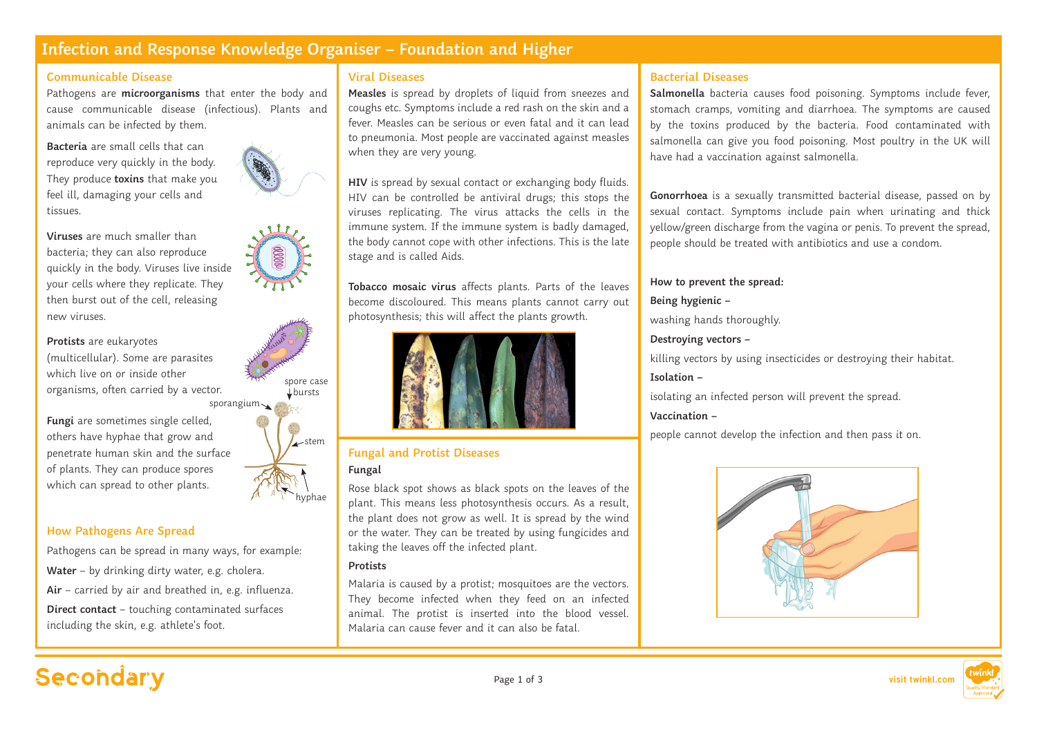## **Infection and Response Knowledge Organiser – Foundation and Higher**

### **Communicable Disease**

Pathogens are **microorganisms** that enter the body and cause communicable disease (infectious). Plants and animals can be infected by them.

**Bacteria** are small cells that can reproduce very quickly in the body. They produce **toxins** that make you feel ill, damaging your cells and tissues.

**Viruses** are much smaller than bacteria; they can also reproduce quickly in the body. Viruses live inside your cells where they replicate. They then burst out of the cell, releasing new viruses.

#### **Protists** are eukaryotes

(multicellular). Some are parasites which live on or inside other organisms, often carried by a vector.

**Fungi** are sometimes single celled, others have hyphae that grow and penetrate human skin and the surface of plants. They can produce spores which can spread to other plants.



hyphae

### **How Pathogens Are Spread**

Pathogens can be spread in many ways, for example: **Water** – by drinking dirty water, e.g. cholera. **Air** – carried by air and breathed in, e.g. influenza. **Direct contact** – touching contaminated surfaces including the skin, e.g. athlete's foot.

### **Viral Diseases**

**Measles** is spread by droplets of liquid from sneezes and coughs etc. Symptoms include a red rash on the skin and a fever. Measles can be serious or even fatal and it can lead to pneumonia. Most people are vaccinated against measles when they are very young.

**HIV** is spread by sexual contact or exchanging body fluids. HIV can be controlled be antiviral drugs; this stops the viruses replicating. The virus attacks the cells in the immune system. If the immune system is badly damaged, the body cannot cope with other infections. This is the late stage and is called Aids.

**Tobacco mosaic virus** affects plants. Parts of the leaves become discoloured. This means plants cannot carry out photosynthesis; this will affect the plants growth.



# **Fungal and Protist Diseases**

### **Fungal**

Rose black spot shows as black spots on the leaves of the plant. This means less photosynthesis occurs. As a result, the plant does not grow as well. It is spread by the wind or the water. They can be treated by using fungicides and taking the leaves off the infected plant.

### **Protists**

Malaria is caused by a protist; mosquitoes are the vectors. They become infected when they feed on an infected animal. The protist is inserted into the blood vessel. Malaria can cause fever and it can also be fatal.

### **Bacterial Diseases**

**Salmonella** bacteria causes food poisoning. Symptoms include fever, stomach cramps, vomiting and diarrhoea. The symptoms are caused by the toxins produced by the bacteria. Food contaminated with salmonella can give you food poisoning. Most poultry in the UK will have had a vaccination against salmonella.

**Gonorrhoea** is a sexually transmitted bacterial disease, passed on by sexual contact. Symptoms include pain when urinating and thick yellow/green discharge from the vagina or penis. To prevent the spread, people should be treated with antibiotics and use a condom.

## **How to prevent the spread:**

### **Being hygienic –**

washing hands thoroughly.

### **Destroying vectors –**

killing vectors by using insecticides or destroying their habitat.

### **Isolation –**

isolating an infected person will prevent the spread.

### **Vaccination –**

people cannot develop the infection and then pass it on.



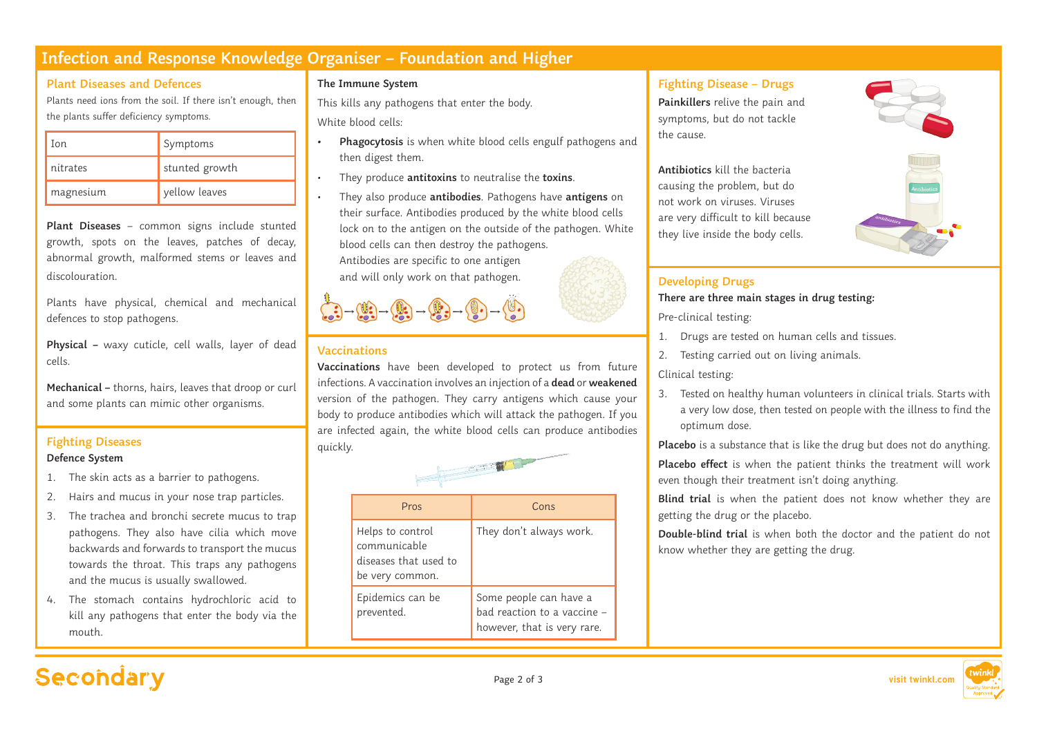## **Infection and Response Knowledge Organiser – Foundation and Higher**

### **Plant Diseases and Defences**

Plants need ions from the soil. If there isn't enough, then the plants suffer deficiency symptoms.

| Ion       | Symptoms       |
|-----------|----------------|
| nitrates  | stunted growth |
| magnesium | yellow leaves  |

**Plant Diseases** – common signs include stunted growth, spots on the leaves, patches of decay, abnormal growth, malformed stems or leaves and discolouration.

Plants have physical, chemical and mechanical defences to stop pathogens.

**Physical –** waxy cuticle, cell walls, layer of dead cells.

**Mechanical –** thorns, hairs, leaves that droop or curl and some plants can mimic other organisms.

## **Fighting Diseases** and the contract of the contract of the contract of the contract of the contract of the contract of the contract of the contract of the contract of the contract of the contract of the contract of the co

### **Defence System**

- 1. The skin acts as a barrier to pathogens.
- 2. Hairs and mucus in your nose trap particles.
- 3. The trachea and bronchi secrete mucus to trap pathogens. They also have cilia which move backwards and forwards to transport the mucus towards the throat. This traps any pathogens and the mucus is usually swallowed.
- 4. The stomach contains hydrochloric acid to kill any pathogens that enter the body via the mouth.

### **The Immune System**

This kills any pathogens that enter the body. White blood cells:

- **• Phagocytosis** is when white blood cells engulf pathogens and then digest them.
- They produce **antitoxins** to neutralise the **toxins**.
- They also produce **antibodies**. Pathogens have **antigens** on their surface. Antibodies produced by the white blood cells lock on to the antigen on the outside of the pathogen. White blood cells can then destroy the pathogens. Antibodies are specific to one antigen

and will only work on that pathogen.

### **Vaccinations**

 $\begin{picture}(150,10) \put(0,0){\line(1,0){10}} \put(15,0){\line(1,0){10}} \put(15,0){\line(1,0){10}} \put(15,0){\line(1,0){10}} \put(15,0){\line(1,0){10}} \put(15,0){\line(1,0){10}} \put(15,0){\line(1,0){10}} \put(15,0){\line(1,0){10}} \put(15,0){\line(1,0){10}} \put(15,0){\line(1,0){10}} \put(15,0){\line(1,0){10}} \put(15,0){\line($ 

**Vaccinations** have been developed to protect us from future infections. A vaccination involves an injection of a **dead** or **weakened** version of the pathogen. They carry antigens which cause your body to produce antibodies which will attack the pathogen. If you are infected again, the white blood cells can produce antibodies

| Inishin                                                                      |                                                                                      |  |
|------------------------------------------------------------------------------|--------------------------------------------------------------------------------------|--|
| Pros                                                                         | Cons                                                                                 |  |
| Helps to control<br>communicable<br>diseases that used to<br>be very common. | They don't always work.                                                              |  |
| Epidemics can be<br>prevented.                                               | Some people can have a<br>bad reaction to a vaccine -<br>however, that is very rare. |  |

### **Fighting Disease – Drugs**

**Painkillers** relive the pain and symptoms, but do not tackle the cause.

**Antibiotics** kill the bacteria causing the problem, but do not work on viruses. Viruses are very difficult to kill because they live inside the body cells.





### **Developing Drugs**

**There are three main stages in drug testing:** 

Pre-clinical testing:

- 1. Drugs are tested on human cells and tissues.
- 2. Testing carried out on living animals.

### Clinical testing:

3. Tested on healthy human volunteers in clinical trials. Starts with a very low dose, then tested on people with the illness to find the optimum dose.

**Placebo** is a substance that is like the drug but does not do anything.

**Placebo effect** is when the patient thinks the treatment will work even though their treatment isn't doing anything.

**Blind trial** is when the patient does not know whether they are getting the drug or the placebo.

**Double-blind trial** is when both the doctor and the patient do not know whether they are getting the drug.